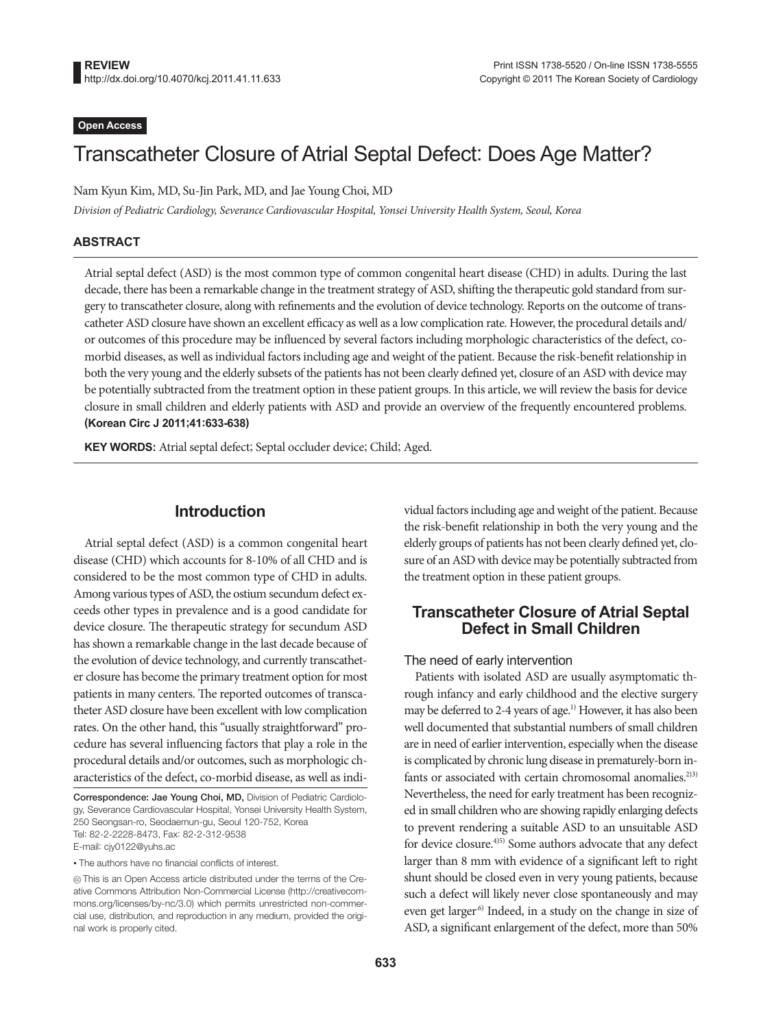#### **Open Access**

# Transcatheter Closure of Atrial Septal Defect: Does Age Matter?

Nam Kyun Kim, MD, Su-Jin Park, MD, and Jae Young Choi, MD

*Division of Pediatric Cardiology, Severance Cardiovascular Hospital, Yonsei University Health System, Seoul, Korea*

#### **ABSTRACT**

Atrial septal defect (ASD) is the most common type of common congenital heart disease (CHD) in adults. During the last decade, there has been a remarkable change in the treatment strategy of ASD, shifting the therapeutic gold standard from surgery to transcatheter closure, along with refinements and the evolution of device technology. Reports on the outcome of transcatheter ASD closure have shown an excellent efficacy as well as a low complication rate. However, the procedural details and/ or outcomes of this procedure may be influenced by several factors including morphologic characteristics of the defect, comorbid diseases, as well as individual factors including age and weight of the patient. Because the risk-benefit relationship in both the very young and the elderly subsets of the patients has not been clearly defined yet, closure of an ASD with device may be potentially subtracted from the treatment option in these patient groups. In this article, we will review the basis for device closure in small children and elderly patients with ASD and provide an overview of the frequently encountered problems. **(Korean Circ J 2011;41:633-638)**

**KEY WORDS:** Atrial septal defect; Septal occluder device; Child; Aged.

## **Introduction**

Atrial septal defect (ASD) is a common congenital heart disease (CHD) which accounts for 8-10% of all CHD and is considered to be the most common type of CHD in adults. Among various types of ASD, the ostium secundum defect exceeds other types in prevalence and is a good candidate for device closure. The therapeutic strategy for secundum ASD has shown a remarkable change in the last decade because of the evolution of device technology, and currently transcatheter closure has become the primary treatment option for most patients in many centers. The reported outcomes of transcatheter ASD closure have been excellent with low complication rates. On the other hand, this "usually straightforward" procedure has several influencing factors that play a role in the procedural details and/or outcomes, such as morphologic characteristics of the defect, co-morbid disease, as well as indi-

Correspondence: Jae Young Choi, MD, Division of Pediatric Cardiology, Severance Cardiovascular Hospital, Yonsei University Health System, 250 Seongsan-ro, Seodaemun-gu, Seoul 120-752, Korea Tel: 82-2-2228-8473, Fax: 82-2-312-9538 E-mail: cjy0122@yuhs.ac

• The authors have no financial conflicts of interest.

vidual factors including age and weight of the patient. Because the risk-benefit relationship in both the very young and the elderly groups of patients has not been clearly defined yet, closure of an ASD with device may be potentially subtracted from the treatment option in these patient groups.

# **Transcatheter Closure of Atrial Septal Defect in Small Children**

#### The need of early intervention

Patients with isolated ASD are usually asymptomatic through infancy and early childhood and the elective surgery may be deferred to 2-4 years of age.<sup>1)</sup> However, it has also been well documented that substantial numbers of small children are in need of earlier intervention, especially when the disease is complicated by chronic lung disease in prematurely-born infants or associated with certain chromosomal anomalies.<sup>2)3)</sup> Nevertheless, the need for early treatment has been recognized in small children who are showing rapidly enlarging defects to prevent rendering a suitable ASD to an unsuitable ASD for device closure.<sup>4)5)</sup> Some authors advocate that any defect larger than 8 mm with evidence of a significant left to right shunt should be closed even in very young patients, because such a defect will likely never close spontaneously and may even get larger<sup>6)</sup> Indeed, in a study on the change in size of ASD, a significant enlargement of the defect, more than 50%

cc This is an Open Access article distributed under the terms of the Creative Commons Attribution Non-Commercial License (http://creativecommons.org/licenses/by-nc/3.0) which permits unrestricted non-commercial use, distribution, and reproduction in any medium, provided the original work is properly cited.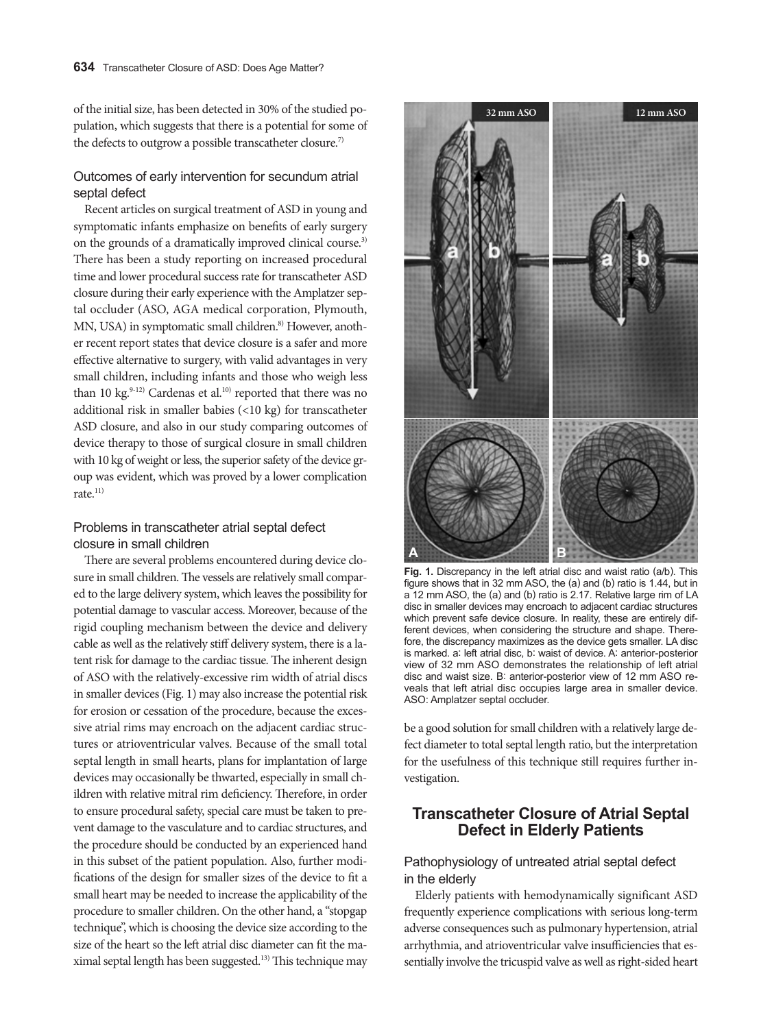of the initial size, has been detected in 30% of the studied population, which suggests that there is a potential for some of the defects to outgrow a possible transcatheter closure.<sup>7)</sup>

#### Outcomes of early intervention for secundum atrial septal defect

Recent articles on surgical treatment of ASD in young and symptomatic infants emphasize on benefits of early surgery on the grounds of a dramatically improved clinical course.<sup>3)</sup> There has been a study reporting on increased procedural time and lower procedural success rate for transcatheter ASD closure during their early experience with the Amplatzer septal occluder (ASO, AGA medical corporation, Plymouth, MN, USA) in symptomatic small children.<sup>8)</sup> However, another recent report states that device closure is a safer and more effective alternative to surgery, with valid advantages in very small children, including infants and those who weigh less than 10 kg. $9-12$ ) Cardenas et al. $10$ ) reported that there was no additional risk in smaller babies (<10 kg) for transcatheter ASD closure, and also in our study comparing outcomes of device therapy to those of surgical closure in small children with 10 kg of weight or less, the superior safety of the device group was evident, which was proved by a lower complication rate. $11)$ 

#### Problems in transcatheter atrial septal defect closure in small children

There are several problems encountered during device closure in small children. The vessels are relatively small compared to the large delivery system, which leaves the possibility for potential damage to vascular access. Moreover, because of the rigid coupling mechanism between the device and delivery cable as well as the relatively stiff delivery system, there is a latent risk for damage to the cardiac tissue. The inherent design of ASO with the relatively-excessive rim width of atrial discs in smaller devices (Fig. 1) may also increase the potential risk for erosion or cessation of the procedure, because the excessive atrial rims may encroach on the adjacent cardiac structures or atrioventricular valves. Because of the small total septal length in small hearts, plans for implantation of large devices may occasionally be thwarted, especially in small children with relative mitral rim deficiency. Therefore, in order to ensure procedural safety, special care must be taken to prevent damage to the vasculature and to cardiac structures, and the procedure should be conducted by an experienced hand in this subset of the patient population. Also, further modifications of the design for smaller sizes of the device to fit a small heart may be needed to increase the applicability of the procedure to smaller children. On the other hand, a "stopgap technique", which is choosing the device size according to the size of the heart so the left atrial disc diameter can fit the maximal septal length has been suggested.13) This technique may



**Fig. 1.** Discrepancy in the left atrial disc and waist ratio (a/b). This figure shows that in 32 mm ASO, the (a) and (b) ratio is 1.44, but in a 12 mm ASO, the (a) and (b) ratio is 2.17. Relative large rim of LA disc in smaller devices may encroach to adjacent cardiac structures which prevent safe device closure. In reality, these are entirely different devices, when considering the structure and shape. Therefore, the discrepancy maximizes as the device gets smaller. LA disc is marked. a: left atrial disc, b: waist of device. A: anterior-posterior view of 32 mm ASO demonstrates the relationship of left atrial disc and waist size. B: anterior-posterior view of 12 mm ASO reveals that left atrial disc occupies large area in smaller device. ASO: Amplatzer septal occluder.

be a good solution for small children with a relatively large defect diameter to total septal length ratio, but the interpretation for the usefulness of this technique still requires further investigation.

## **Transcatheter Closure of Atrial Septal Defect in Elderly Patients**

## Pathophysiology of untreated atrial septal defect in the elderly

Elderly patients with hemodynamically significant ASD frequently experience complications with serious long-term adverse consequences such as pulmonary hypertension, atrial arrhythmia, and atrioventricular valve insufficiencies that essentially involve the tricuspid valve as well as right-sided heart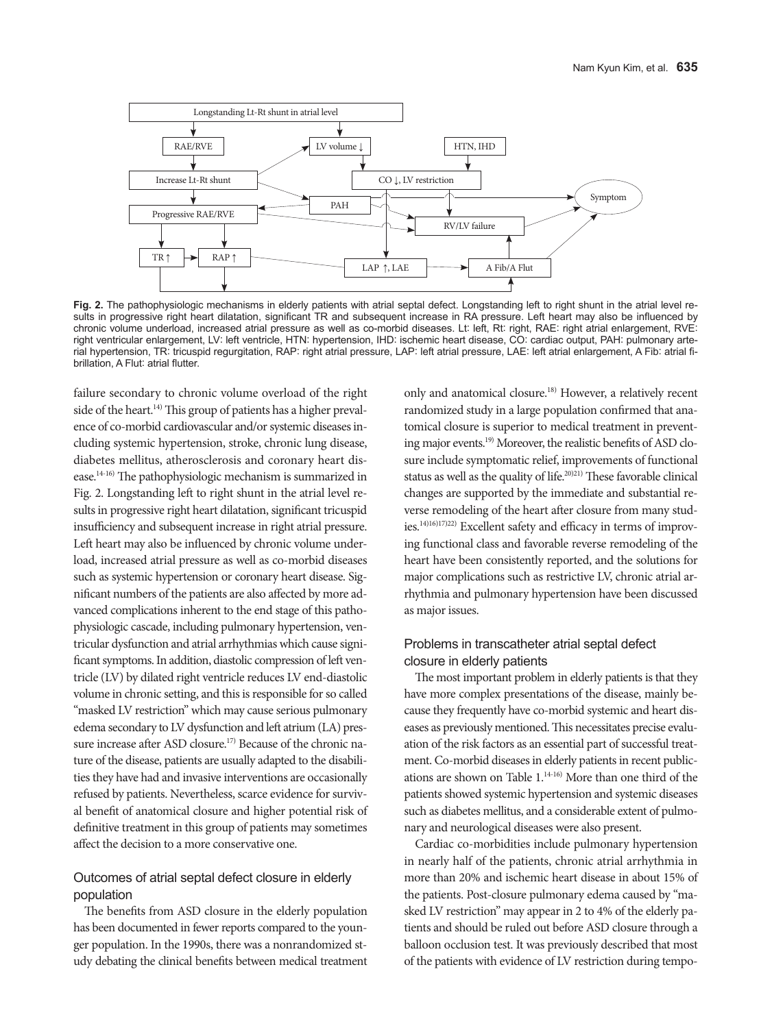

**Fig. 2.** The pathophysiologic mechanisms in elderly patients with atrial septal defect. Longstanding left to right shunt in the atrial level results in progressive right heart dilatation, significant TR and subsequent increase in RA pressure. Left heart may also be influenced by chronic volume underload, increased atrial pressure as well as co-morbid diseases. Lt: left, Rt: right, RAE: right atrial enlargement, RVE: right ventricular enlargement, LV: left ventricle, HTN: hypertension, IHD: ischemic heart disease, CO: cardiac output, PAH: pulmonary arterial hypertension, TR: tricuspid regurgitation, RAP: right atrial pressure, LAP: left atrial pressure, LAE: left atrial enlargement, A Fib: atrial fibrillation, A Flut: atrial flutter.

failure secondary to chronic volume overload of the right side of the heart.<sup>14)</sup> This group of patients has a higher prevalence of co-morbid cardiovascular and/or systemic diseases including systemic hypertension, stroke, chronic lung disease, diabetes mellitus, atherosclerosis and coronary heart disease.14-16) The pathophysiologic mechanism is summarized in Fig. 2. Longstanding left to right shunt in the atrial level results in progressive right heart dilatation, significant tricuspid insufficiency and subsequent increase in right atrial pressure. Left heart may also be influenced by chronic volume underload, increased atrial pressure as well as co-morbid diseases such as systemic hypertension or coronary heart disease. Significant numbers of the patients are also affected by more advanced complications inherent to the end stage of this pathophysiologic cascade, including pulmonary hypertension, ventricular dysfunction and atrial arrhythmias which cause significant symptoms. In addition, diastolic compression of left ventricle (LV) by dilated right ventricle reduces LV end-diastolic volume in chronic setting, and this is responsible for so called "masked LV restriction" which may cause serious pulmonary edema secondary to LV dysfunction and left atrium (LA) pressure increase after ASD closure.<sup>17)</sup> Because of the chronic nature of the disease, patients are usually adapted to the disabilities they have had and invasive interventions are occasionally refused by patients. Nevertheless, scarce evidence for survival benefit of anatomical closure and higher potential risk of definitive treatment in this group of patients may sometimes affect the decision to a more conservative one.

## Outcomes of atrial septal defect closure in elderly population

The benefits from ASD closure in the elderly population has been documented in fewer reports compared to the younger population. In the 1990s, there was a nonrandomized study debating the clinical benefits between medical treatment only and anatomical closure.18) However, a relatively recent randomized study in a large population confirmed that anatomical closure is superior to medical treatment in preventing major events.19) Moreover, the realistic benefits of ASD closure include symptomatic relief, improvements of functional status as well as the quality of life.<sup>20)21)</sup> These favorable clinical changes are supported by the immediate and substantial reverse remodeling of the heart after closure from many studies.14)16)17)22) Excellent safety and efficacy in terms of improving functional class and favorable reverse remodeling of the heart have been consistently reported, and the solutions for major complications such as restrictive LV, chronic atrial arrhythmia and pulmonary hypertension have been discussed as major issues.

#### Problems in transcatheter atrial septal defect closure in elderly patients

The most important problem in elderly patients is that they have more complex presentations of the disease, mainly because they frequently have co-morbid systemic and heart diseases as previously mentioned. This necessitates precise evaluation of the risk factors as an essential part of successful treatment. Co-morbid diseases in elderly patients in recent publications are shown on Table 1.14-16) More than one third of the patients showed systemic hypertension and systemic diseases such as diabetes mellitus, and a considerable extent of pulmonary and neurological diseases were also present.

Cardiac co-morbidities include pulmonary hypertension in nearly half of the patients, chronic atrial arrhythmia in more than 20% and ischemic heart disease in about 15% of the patients. Post-closure pulmonary edema caused by "masked LV restriction" may appear in 2 to 4% of the elderly patients and should be ruled out before ASD closure through a balloon occlusion test. It was previously described that most of the patients with evidence of LV restriction during tempo-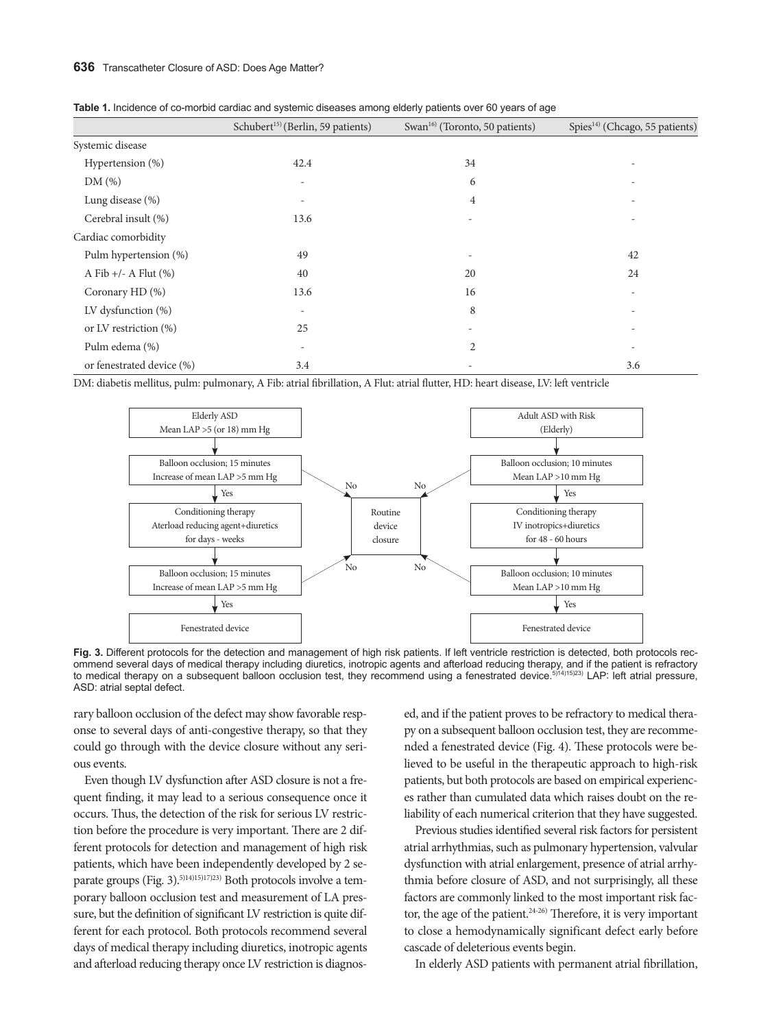|                           | Schubert <sup>15)</sup> (Berlin, 59 patients) | Swan <sup>16</sup> (Toronto, 50 patients) | Spies <sup>14)</sup> (Chcago, 55 patients) |  |  |
|---------------------------|-----------------------------------------------|-------------------------------------------|--------------------------------------------|--|--|
| Systemic disease          |                                               |                                           |                                            |  |  |
| Hypertension (%)          | 42.4                                          | 34                                        | $\overline{\phantom{a}}$                   |  |  |
| DM(%)                     | $\overline{\phantom{a}}$                      | 6                                         |                                            |  |  |
| Lung disease (%)          |                                               | 4                                         | $\overline{\phantom{a}}$                   |  |  |
| Cerebral insult (%)       | 13.6                                          |                                           |                                            |  |  |
| Cardiac comorbidity       |                                               |                                           |                                            |  |  |
| Pulm hypertension (%)     | 49                                            | $\overline{\phantom{0}}$                  | 42                                         |  |  |
| A Fib $+/-$ A Flut $(\%)$ | 40                                            | 20                                        | 24                                         |  |  |
| Coronary HD (%)           | 13.6                                          | 16                                        | $\overline{\phantom{a}}$                   |  |  |
| LV dysfunction $(\%)$     |                                               | 8                                         |                                            |  |  |
| or LV restriction $(\%)$  | 25                                            |                                           |                                            |  |  |
| Pulm edema (%)            | $\overline{\phantom{0}}$                      | $\overline{2}$                            | $\overline{\phantom{a}}$                   |  |  |
| or fenestrated device (%) | 3.4                                           |                                           | 3.6                                        |  |  |

|  | Table 1. Incidence of co-morbid cardiac and systemic diseases among elderly patients over 60 years of age |  |  |  |  |  |  |  |  |  |  |
|--|-----------------------------------------------------------------------------------------------------------|--|--|--|--|--|--|--|--|--|--|
|--|-----------------------------------------------------------------------------------------------------------|--|--|--|--|--|--|--|--|--|--|

DM: diabetis mellitus, pulm: pulmonary, A Fib: atrial fibrillation, A Flut: atrial flutter, HD: heart disease, LV: left ventricle



Fig. 3. Different protocols for the detection and management of high risk patients. If left ventricle restriction is detected, both protocols recommend several days of medical therapy including diuretics, inotropic agents and afterload reducing therapy, and if the patient is refractory to medical therapy on a subsequent balloon occlusion test, they recommend using a fenestrated device.<sup>5)14)15)23)</sup> LAP: left atrial pressure, ASD: atrial septal defect.

rary balloon occlusion of the defect may show favorable response to several days of anti-congestive therapy, so that they could go through with the device closure without any serious events.

Even though LV dysfunction after ASD closure is not a frequent finding, it may lead to a serious consequence once it occurs. Thus, the detection of the risk for serious LV restriction before the procedure is very important. There are 2 different protocols for detection and management of high risk patients, which have been independently developed by 2 separate groups (Fig. 3).5)14)15)17)23) Both protocols involve a temporary balloon occlusion test and measurement of LA pressure, but the definition of significant LV restriction is quite different for each protocol. Both protocols recommend several days of medical therapy including diuretics, inotropic agents and afterload reducing therapy once LV restriction is diagnosed, and if the patient proves to be refractory to medical therapy on a subsequent balloon occlusion test, they are recommended a fenestrated device (Fig. 4). These protocols were believed to be useful in the therapeutic approach to high-risk patients, but both protocols are based on empirical experiences rather than cumulated data which raises doubt on the reliability of each numerical criterion that they have suggested.

Previous studies identified several risk factors for persistent atrial arrhythmias, such as pulmonary hypertension, valvular dysfunction with atrial enlargement, presence of atrial arrhythmia before closure of ASD, and not surprisingly, all these factors are commonly linked to the most important risk factor, the age of the patient. $24-26$  Therefore, it is very important to close a hemodynamically significant defect early before cascade of deleterious events begin.

In elderly ASD patients with permanent atrial fibrillation,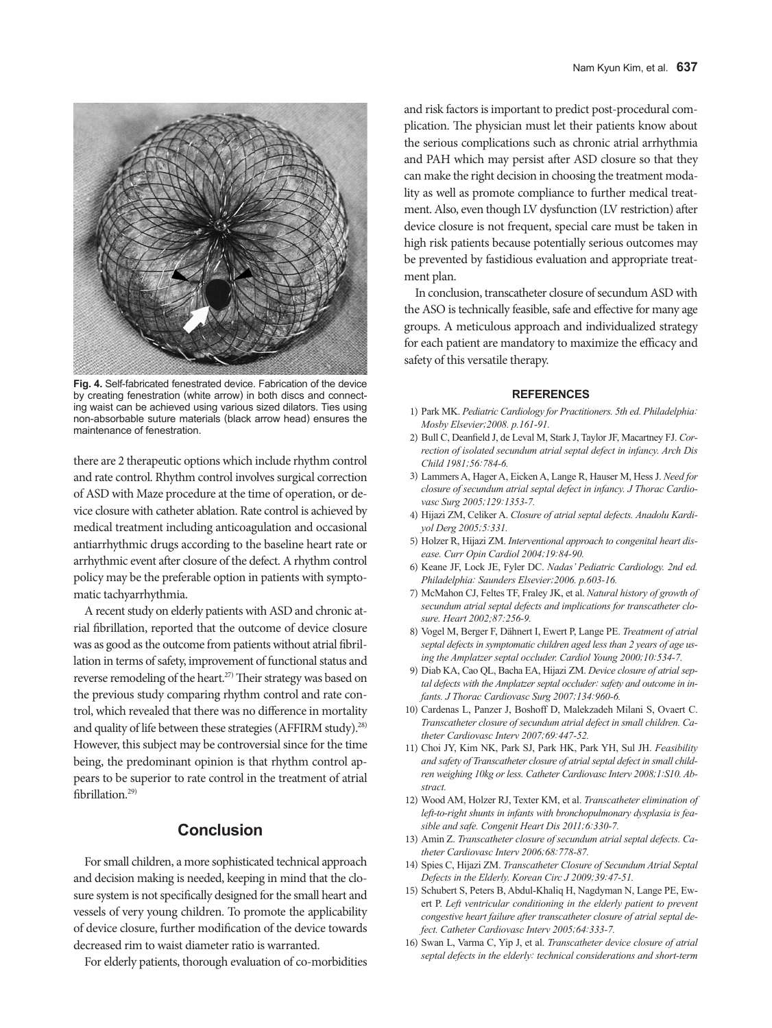

**Fig. 4.** Self-fabricated fenestrated device. Fabrication of the device by creating fenestration (white arrow) in both discs and connecting waist can be achieved using various sized dilators. Ties using non-absorbable suture materials (black arrow head) ensures the maintenance of fenestration.

there are 2 therapeutic options which include rhythm control and rate control. Rhythm control involves surgical correction of ASD with Maze procedure at the time of operation, or device closure with catheter ablation. Rate control is achieved by medical treatment including anticoagulation and occasional antiarrhythmic drugs according to the baseline heart rate or arrhythmic event after closure of the defect. A rhythm control policy may be the preferable option in patients with symptomatic tachyarrhythmia.

A recent study on elderly patients with ASD and chronic atrial fibrillation, reported that the outcome of device closure was as good as the outcome from patients without atrial fibrillation in terms of safety, improvement of functional status and reverse remodeling of the heart.<sup>27)</sup> Their strategy was based on the previous study comparing rhythm control and rate control, which revealed that there was no difference in mortality and quality of life between these strategies (AFFIRM study).<sup>28)</sup> However, this subject may be controversial since for the time being, the predominant opinion is that rhythm control appears to be superior to rate control in the treatment of atrial fibrillation.<sup>29)</sup>

# **Conclusion**

For small children, a more sophisticated technical approach and decision making is needed, keeping in mind that the closure system is not specifically designed for the small heart and vessels of very young children. To promote the applicability of device closure, further modification of the device towards decreased rim to waist diameter ratio is warranted.

For elderly patients, thorough evaluation of co-morbidities

and risk factors is important to predict post-procedural complication. The physician must let their patients know about the serious complications such as chronic atrial arrhythmia and PAH which may persist after ASD closure so that they can make the right decision in choosing the treatment modality as well as promote compliance to further medical treatment. Also, even though LV dysfunction (LV restriction) after device closure is not frequent, special care must be taken in high risk patients because potentially serious outcomes may be prevented by fastidious evaluation and appropriate treatment plan.

In conclusion, transcatheter closure of secundum ASD with the ASO is technically feasible, safe and effective for many age groups. A meticulous approach and individualized strategy for each patient are mandatory to maximize the efficacy and safety of this versatile therapy.

#### **REFERENCES**

- 1) Park MK. *Pediatric Cardiology for Practitioners. 5th ed. Philadelphia: Mosby Elsevier;2008. p.161-91.*
- 2) Bull C, Deanfield J, de Leval M, Stark J, Taylor JF, Macartney FJ. *Correction of isolated secundum atrial septal defect in infancy. Arch Dis Child 1981;56:784-6.*
- 3) Lammers A, Hager A, Eicken A, Lange R, Hauser M, Hess J. *Need for closure of secundum atrial septal defect in infancy. J Thorac Cardiovasc Surg 2005;129:1353-7.*
- 4) Hijazi ZM, Celiker A. *Closure of atrial septal defects. Anadolu Kardiyol Derg 2005;5:331.*
- 5) Holzer R, Hijazi ZM. *Interventional approach to congenital heart disease. Curr Opin Cardiol 2004;19:84-90.*
- 6) Keane JF, Lock JE, Fyler DC. *Nadas' Pediatric Cardiology. 2nd ed. Philadelphia: Saunders Elsevier;2006. p.603-16.*
- 7) McMahon CJ, Feltes TF, Fraley JK, et al. *Natural history of growth of secundum atrial septal defects and implications for transcatheter closure. Heart 2002;87:256-9.*
- 8) Vogel M, Berger F, Dähnert I, Ewert P, Lange PE. *Treatment of atrial septal defects in symptomatic children aged less than 2 years of age using the Amplatzer septal occluder. Cardiol Young 2000;10:534-7.*
- 9) Diab KA, Cao QL, Bacha EA, Hijazi ZM. *Device closure of atrial septal defects with the Amplatzer septal occluder: safety and outcome in infants. J Thorac Cardiovasc Surg 2007;134:960-6.*
- 10) Cardenas L, Panzer J, Boshoff D, Malekzadeh Milani S, Ovaert C. *Transcatheter closure of secundum atrial defect in small children. Catheter Cardiovasc Interv 2007;69:447-52.*
- 11) Choi JY, Kim NK, Park SJ, Park HK, Park YH, Sul JH. *Feasibility and safety of Transcatheter closure of atrial septal defect in small children weighing 10kg or less. Catheter Cardiovasc Interv 2008;1:S10. Abstract.*
- 12) Wood AM, Holzer RJ, Texter KM, et al. *Transcatheter elimination of left-to-right shunts in infants with bronchopulmonary dysplasia is feasible and safe. Congenit Heart Dis 2011;6:330-7.*
- 13) Amin Z. *Transcatheter closure of secundum atrial septal defects. Catheter Cardiovasc Interv 2006;68:778-87.*
- 14) Spies C, Hijazi ZM. *Transcatheter Closure of Secundum Atrial Septal Defects in the Elderly. Korean Circ J 2009;39:47-51.*
- 15) Schubert S, Peters B, Abdul-Khaliq H, Nagdyman N, Lange PE, Ewert P. *Left ventricular conditioning in the elderly patient to prevent congestive heart failure after transcatheter closure of atrial septal defect. Catheter Cardiovasc Interv 2005;64:333-7.*
- 16) Swan L, Varma C, Yip J, et al. *Transcatheter device closure of atrial septal defects in the elderly: technical considerations and short-term*